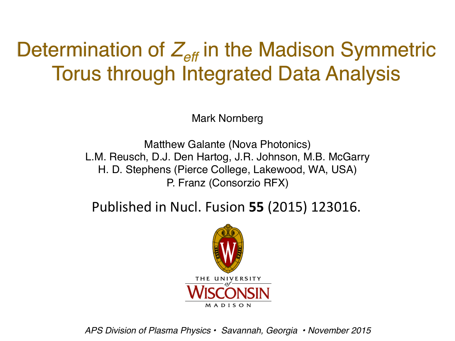# Determination of  $Z_{\text{eff}}$  in the Madison Symmetric Torus through Integrated Data Analysis

Mark Nornberg

Matthew Galante (Nova Photonics) L.M. Reusch, D.J. Den Hartog, J.R. Johnson, M.B. McGarry H. D. Stephens (Pierce College, Lakewood, WA, USA) P. Franz (Consorzio RFX)

Published in Nucl. Fusion **55** (2015) 123016.



*APS Division of Plasma Physics • Savannah, Georgia • November 2015*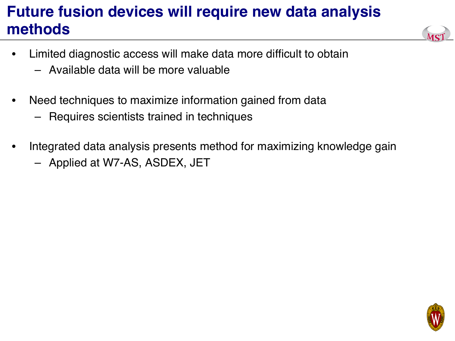# **Future fusion devices will require new data analysis methods**



- Limited diagnostic access will make data more difficult to obtain
	- Available data will be more valuable
- Need techniques to maximize information gained from data
	- Requires scientists trained in techniques
- Integrated data analysis presents method for maximizing knowledge gain
	- Applied at W7-AS, ASDEX, JET

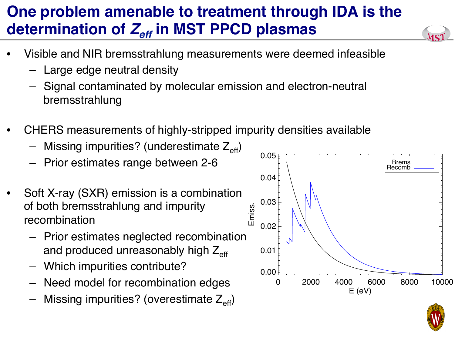# **One problem amenable to treatment through IDA is the**  determination of  $Z_{\text{eff}}$  in MST PPCD plasmas

- Visible and NIR bremsstrahlung measurements were deemed infeasible
	- Large edge neutral density
	- Signal contaminated by molecular emission and electron-neutral bremsstrahlung
- CHERS measurements of highly-stripped impurity densities available
	- Missing impurities? (underestimate  $Z_{\text{eff}}$ )
	- Prior estimates range between 2-6
- Soft X-ray (SXR) emission is a combination of both bremsstrahlung and impurity recombination
	- Prior estimates neglected recombination and produced unreasonably high  $Z_{\text{eff}}$
	- Which impurities contribute?
	- Need model for recombination edges
	- Missing impurities? (overestimate  $Z_{\text{eff}}$ )



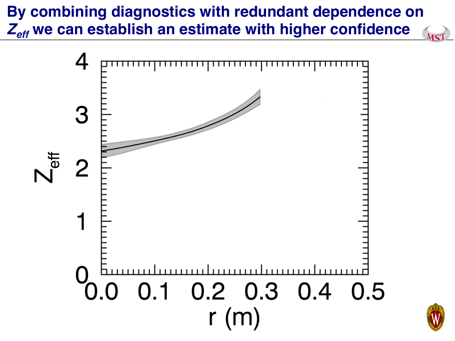#### **By combining diagnostics with redundant dependence on**  *Zeff* **we can establish an estimate with higher confidence**MST



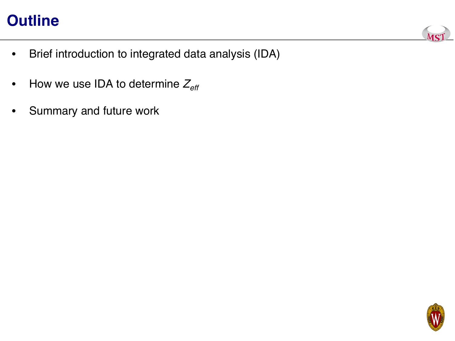### **Outline**



- Brief introduction to integrated data analysis (IDA)
- How we use IDA to determine  $Z_{\text{eff}}$
- Summary and future work

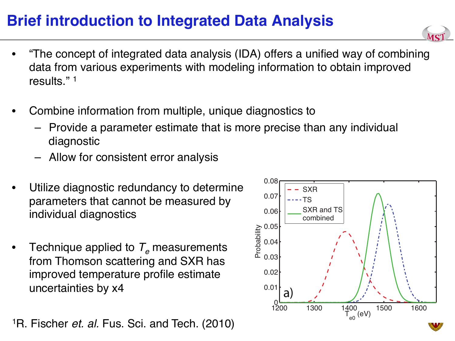#### **Brief introduction to Integrated Data Analysis**



- "The concept of integrated data analysis (IDA) offers a unified way of combining data from various experiments with modeling information to obtain improved results." 1
- Combine information from multiple, unique diagnostics to
	- Provide a parameter estimate that is more precise than any individual diagnostic
	- Allow for consistent error analysis
- Utilize diagnostic redundancy to determine parameters that cannot be measured by individual diagnostics
- Technique applied to  $T_e$  measurements from Thomson scattering and SXR has improved temperature profile estimate uncertainties by x4

1R. Fischer *et. al.* Fus. Sci. and Tech. (2010)

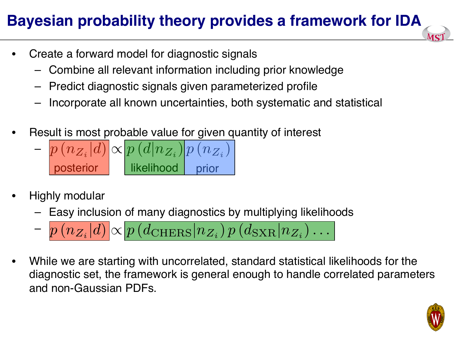# **Bayesian probability theory provides a framework for IDA**

- Create a forward model for diagnostic signals
	- Combine all relevant information including prior knowledge
	- Predict diagnostic signals given parameterized profile
	- Incorporate all known uncertainties, both systematic and statistical
- Result is most probable value for given quantity of interest
	- $p(n_{Z_i}|d) \propto p(d|n_{Z_i}) |p(n_{Z_i})|$ posterior likelihood prior
- Highly modular
	- Easy inclusion of many diagnostics by multiplying likelihoods

$$
= p\left(n_{Z_i}|d\right) \propto p\left(d_{\text{CHERS}}|n_{Z_i}\right) p\left(d_{\text{SKR}}|n_{Z_i}\right) \dots
$$

• While we are starting with uncorrelated, standard statistical likelihoods for the diagnostic set, the framework is general enough to handle correlated parameters and non-Gaussian PDFs.

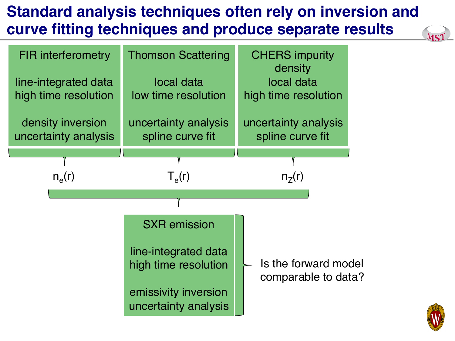# **Standard analysis techniques often rely on inversion and curve fitting techniques and produce separate results**



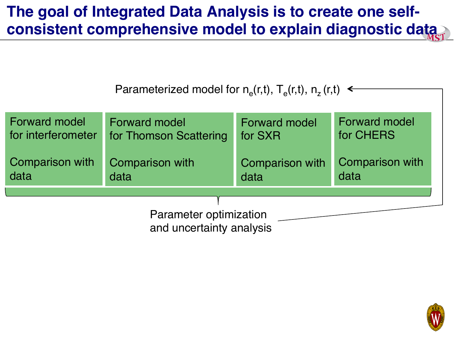#### **The goal of Integrated Data Analysis is to create one selfconsistent comprehensive model to explain diagnostic data**

Parameterized model for  $n_e(r,t)$ ,  $T_e(r,t)$ ,  $n_z(r,t) \leftarrow$ 

| Forward model                                      | <b>Forward model</b>   | <b>Forward model</b>   | <b>Forward model</b> |
|----------------------------------------------------|------------------------|------------------------|----------------------|
| for interferometer                                 | for Thomson Scattering | for SXR                | for CHERS            |
| Comparison with                                    | <b>Comparison with</b> | <b>Comparison with</b> | Comparison with      |
| data                                               | data                   | data                   | data                 |
| Parameter optimization<br>and uncertainty analysis |                        |                        |                      |

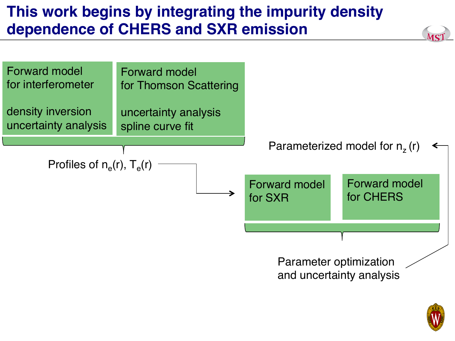# **This work begins by integrating the impurity density dependence of CHERS and SXR emission**



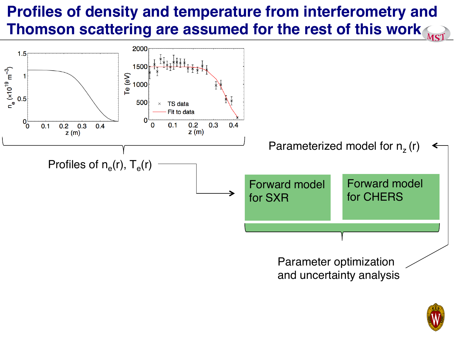# **Profiles of density and temperature from interferometry and Thomson scattering are assumed for the rest of this work**



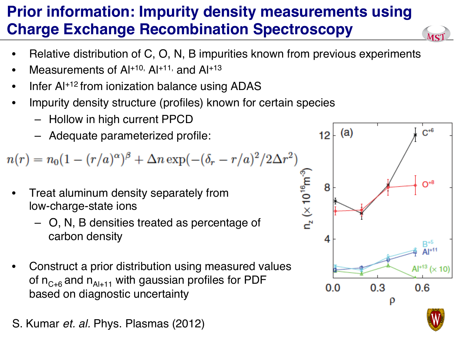# **Prior information: Impurity density measurements using Charge Exchange Recombination Spectroscopy**

- Relative distribution of C, O, N, B impurities known from previous experiments
- Measurements of  $Al<sup>+10</sup>$ ,  $Al<sup>+11</sup>$ , and  $Al<sup>+13</sup>$
- Infer Al<sup>+12</sup> from ionization balance using ADAS
- Impurity density structure (profiles) known for certain species
	- Hollow in high current PPCD
	- Adequate parameterized profile:

 $n(r) = n_0(1 - (r/a)^{\alpha})^{\beta} + \Delta n \exp(-(\delta_r - r/a)^2/2\Delta r^2)$ 

- Treat aluminum density separately from low-charge-state ions
	- O, N, B densities treated as percentage of carbon density
- Construct a prior distribution using measured values of  $n_{C+6}$  and  $n_{A+11}$  with gaussian profiles for PDF based on diagnostic uncertainty
- S. Kumar *et. al.* Phys. Plasmas (2012)



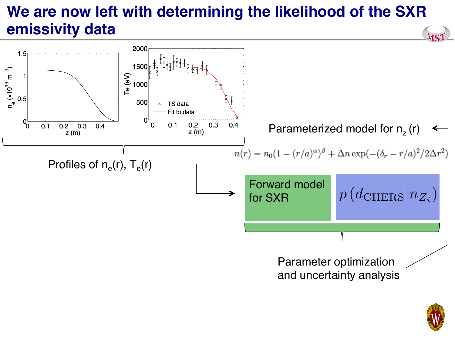# **We are now left with determining the likelihood of the SXR emissivity data**



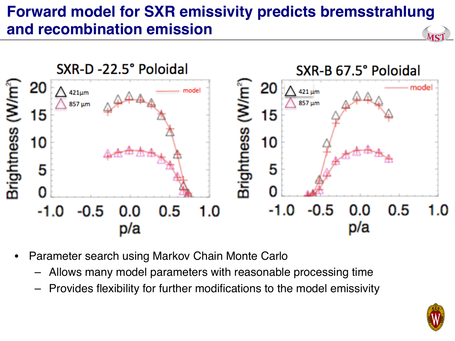# **Forward model for SXR emissivity predicts bremsstrahlung and recombination emission**



- Parameter search using Markov Chain Monte Carlo
	- Allows many model parameters with reasonable processing time
	- Provides flexibility for further modifications to the model emissivity

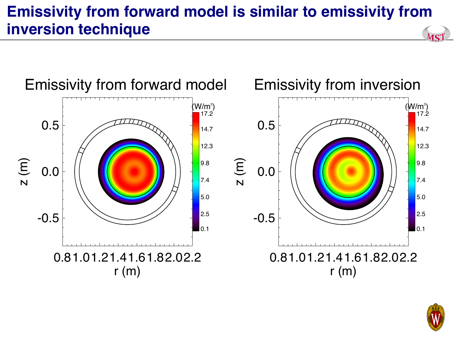#### **Emissivity from forward model is similar to emissivity from inversion technique** MST



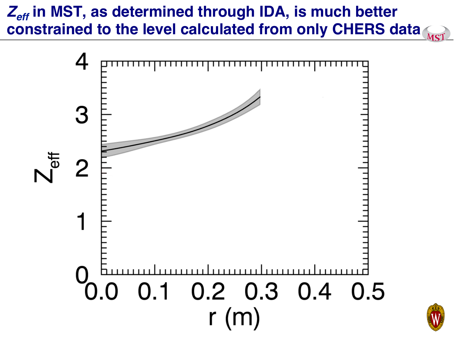# Z<sub>eff</sub> in MST, as determined through IDA, is much better **constrained to the level calculated from only CHERS data**



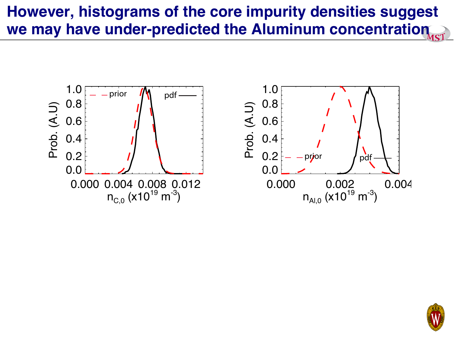## **However, histograms of the core impurity densities suggest we may have under-predicted the Aluminum concentration**



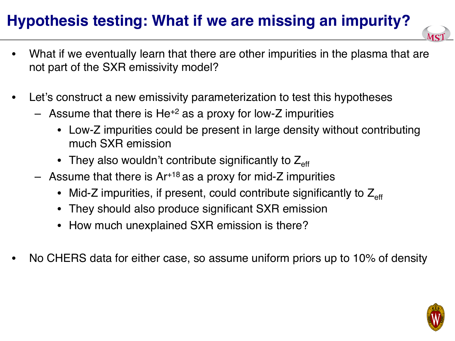# **Hypothesis testing: What if we are missing an impurity?**

- What if we eventually learn that there are other impurities in the plasma that are not part of the SXR emissivity model?
- Let's construct a new emissivity parameterization to test this hypotheses
	- Assume that there is  $He^{2}$  as a proxy for low-Z impurities
		- Low-Z impurities could be present in large density without contributing much SXR emission
		- They also wouldn't contribute significantly to  $Z_{\text{eff}}$
	- Assume that there is  $Ar+18$  as a proxy for mid-Z impurities
		- Mid-Z impurities, if present, could contribute significantly to  $Z_{\text{eff}}$
		- They should also produce significant SXR emission
		- How much unexplained SXR emission is there?
- No CHERS data for either case, so assume uniform priors up to 10% of density

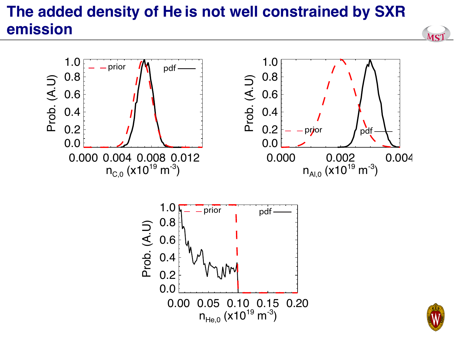# **The added density of He is not well constrained by SXR emission**





MS1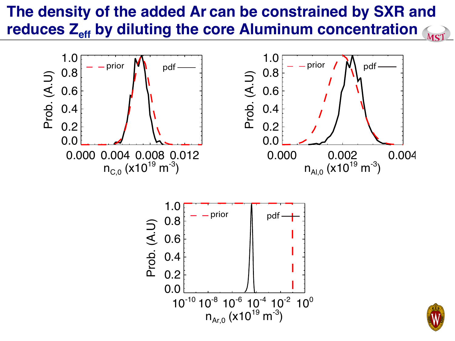#### **The density of the added Ar can be constrained by SXR and**  reduces Z<sub>eff</sub> by diluting the core Aluminum concentration MST

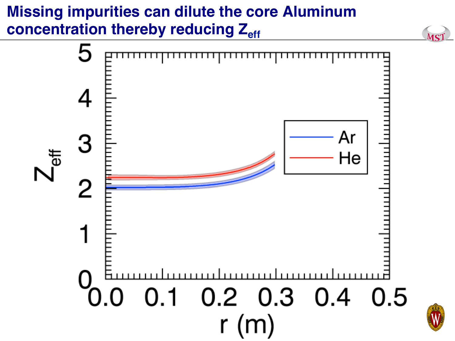# **Missing impurities can dilute the core Aluminum**  concentration thereby reducing Z<sub>eff</sub>